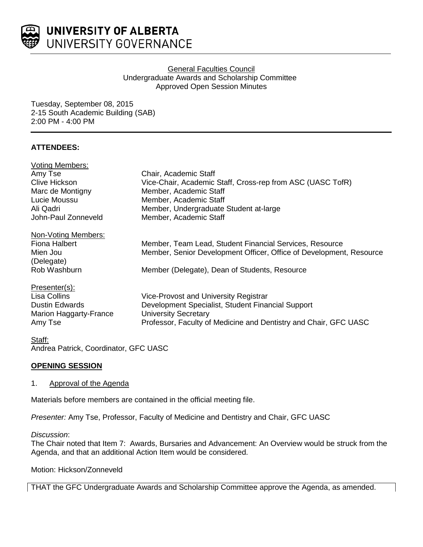

## General Faculties Council Undergraduate Awards and Scholarship Committee Approved Open Session Minutes

Tuesday, September 08, 2015 2-15 South Academic Building (SAB) 2:00 PM - 4:00 PM

## **ATTENDEES:**

| <b>Voting Members:</b> |                                                                     |
|------------------------|---------------------------------------------------------------------|
| Amy Tse                | Chair, Academic Staff                                               |
| <b>Clive Hickson</b>   | Vice-Chair, Academic Staff, Cross-rep from ASC (UASC TofR)          |
| Marc de Montigny       | Member, Academic Staff                                              |
| Lucie Moussu           | Member, Academic Staff                                              |
| Ali Qadri              | Member, Undergraduate Student at-large                              |
| John-Paul Zonneveld    | Member, Academic Staff                                              |
| Non-Voting Members:    |                                                                     |
| Fiona Halbert          | Member, Team Lead, Student Financial Services, Resource             |
| Mien Jou               | Member, Senior Development Officer, Office of Development, Resource |
| (Delegate)             |                                                                     |
| Rob Washburn           | Member (Delegate), Dean of Students, Resource                       |
| Presenter(s):          |                                                                     |
| Lisa Collins           | Vice-Provost and University Registrar                               |
| <b>Dustin Edwards</b>  | Development Specialist, Student Financial Support                   |
| Marion Haggarty-France | <b>University Secretary</b>                                         |
| Amy Tse                | Professor, Faculty of Medicine and Dentistry and Chair, GFC UASC    |
| $C1 - H$               |                                                                     |

<u>staff:</u> Andrea Patrick, Coordinator, GFC UASC

## **OPENING SESSION**

## 1. Approval of the Agenda

Materials before members are contained in the official meeting file.

*Presenter:* Amy Tse, Professor, Faculty of Medicine and Dentistry and Chair, GFC UASC

*Discussion*:

The Chair noted that Item 7: Awards, Bursaries and Advancement: An Overview would be struck from the Agenda, and that an additional Action Item would be considered.

Motion: Hickson/Zonneveld

THAT the GFC Undergraduate Awards and Scholarship Committee approve the Agenda, as amended.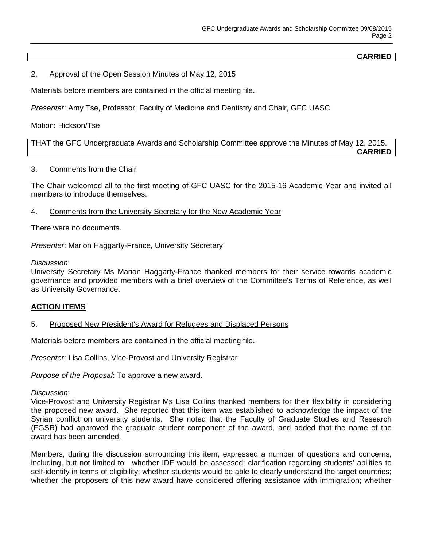## **CARRIED**

## 2. Approval of the Open Session Minutes of May 12, 2015

Materials before members are contained in the official meeting file.

*Presenter*: Amy Tse, Professor, Faculty of Medicine and Dentistry and Chair, GFC UASC

### Motion: Hickson/Tse

THAT the GFC Undergraduate Awards and Scholarship Committee approve the Minutes of May 12, 2015. **CARRIED**

### 3. Comments from the Chair

The Chair welcomed all to the first meeting of GFC UASC for the 2015-16 Academic Year and invited all members to introduce themselves.

### 4. Comments from the University Secretary for the New Academic Year

There were no documents.

*Presenter*: Marion Haggarty-France, University Secretary

#### *Discussion*:

University Secretary Ms Marion Haggarty-France thanked members for their service towards academic governance and provided members with a brief overview of the Committee's Terms of Reference, as well as University Governance.

### **ACTION ITEMS**

### 5. Proposed New President's Award for Refugees and Displaced Persons

Materials before members are contained in the official meeting file.

*Presenter*: Lisa Collins, Vice-Provost and University Registrar

*Purpose of the Proposal*: To approve a new award.

#### *Discussion*:

Vice-Provost and University Registrar Ms Lisa Collins thanked members for their flexibility in considering the proposed new award. She reported that this item was established to acknowledge the impact of the Syrian conflict on university students. She noted that the Faculty of Graduate Studies and Research (FGSR) had approved the graduate student component of the award, and added that the name of the award has been amended.

Members, during the discussion surrounding this item, expressed a number of questions and concerns, including, but not limited to: whether IDF would be assessed; clarification regarding students' abilities to self-identify in terms of eligibility; whether students would be able to clearly understand the target countries; whether the proposers of this new award have considered offering assistance with immigration; whether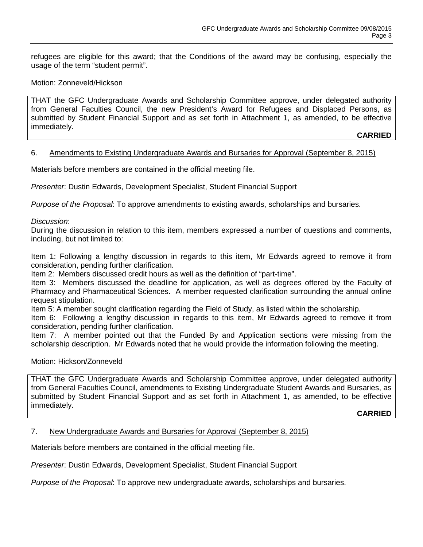refugees are eligible for this award; that the Conditions of the award may be confusing, especially the usage of the term "student permit".

## Motion: Zonneveld/Hickson

THAT the GFC Undergraduate Awards and Scholarship Committee approve, under delegated authority from General Faculties Council, the new President's Award for Refugees and Displaced Persons, as submitted by Student Financial Support and as set forth in Attachment 1, as amended, to be effective immediately.

**CARRIED**

### 6. Amendments to Existing Undergraduate Awards and Bursaries for Approval (September 8, 2015)

Materials before members are contained in the official meeting file.

*Presenter*: Dustin Edwards, Development Specialist, Student Financial Support

*Purpose of the Proposal*: To approve amendments to existing awards, scholarships and bursaries.

### *Discussion*:

During the discussion in relation to this item, members expressed a number of questions and comments, including, but not limited to:

Item 1: Following a lengthy discussion in regards to this item, Mr Edwards agreed to remove it from consideration, pending further clarification.

Item 2: Members discussed credit hours as well as the definition of "part-time".

Item 3: Members discussed the deadline for application, as well as degrees offered by the Faculty of Pharmacy and Pharmaceutical Sciences. A member requested clarification surrounding the annual online request stipulation.

Item 5: A member sought clarification regarding the Field of Study, as listed within the scholarship.

Item 6: Following a lengthy discussion in regards to this item, Mr Edwards agreed to remove it from consideration, pending further clarification.

Item 7: A member pointed out that the Funded By and Application sections were missing from the scholarship description. Mr Edwards noted that he would provide the information following the meeting.

### Motion: Hickson/Zonneveld

THAT the GFC Undergraduate Awards and Scholarship Committee approve, under delegated authority from General Faculties Council, amendments to Existing Undergraduate Student Awards and Bursaries, as submitted by Student Financial Support and as set forth in Attachment 1, as amended, to be effective immediately.

**CARRIED**

### 7. New Undergraduate Awards and Bursaries for Approval (September 8, 2015)

Materials before members are contained in the official meeting file.

*Presenter*: Dustin Edwards, Development Specialist, Student Financial Support

*Purpose of the Proposal*: To approve new undergraduate awards, scholarships and bursaries.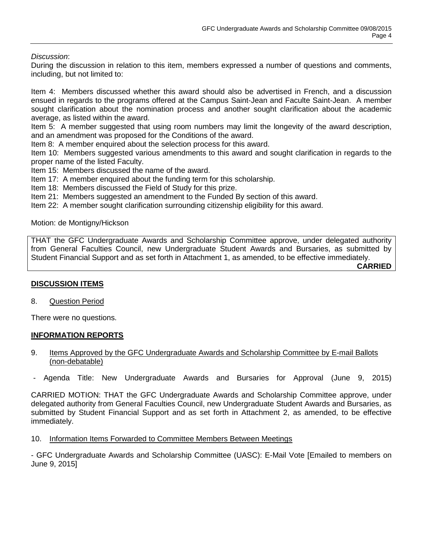## *Discussion*:

During the discussion in relation to this item, members expressed a number of questions and comments, including, but not limited to:

Item 4: Members discussed whether this award should also be advertised in French, and a discussion ensued in regards to the programs offered at the Campus Saint-Jean and Faculte Saint-Jean. A member sought clarification about the nomination process and another sought clarification about the academic average, as listed within the award.

Item 5: A member suggested that using room numbers may limit the longevity of the award description, and an amendment was proposed for the Conditions of the award.

Item 8: A member enquired about the selection process for this award.

Item 10: Members suggested various amendments to this award and sought clarification in regards to the proper name of the listed Faculty.

Item 15: Members discussed the name of the award.

Item 17: A member enquired about the funding term for this scholarship.

Item 18: Members discussed the Field of Study for this prize.

Item 21: Members suggested an amendment to the Funded By section of this award.

Item 22: A member sought clarification surrounding citizenship eligibility for this award.

Motion: de Montigny/Hickson

THAT the GFC Undergraduate Awards and Scholarship Committee approve, under delegated authority from General Faculties Council, new Undergraduate Student Awards and Bursaries, as submitted by Student Financial Support and as set forth in Attachment 1, as amended, to be effective immediately.

**CARRIED**

## **DISCUSSION ITEMS**

8. Question Period

There were no questions.

## **INFORMATION REPORTS**

- 9. Items Approved by the GFC Undergraduate Awards and Scholarship Committee by E-mail Ballots (non-debatable)
- Agenda Title: New Undergraduate Awards and Bursaries for Approval (June 9, 2015)

CARRIED MOTION: THAT the GFC Undergraduate Awards and Scholarship Committee approve, under delegated authority from General Faculties Council, new Undergraduate Student Awards and Bursaries, as submitted by Student Financial Support and as set forth in Attachment 2, as amended, to be effective immediately.

### 10. Information Items Forwarded to Committee Members Between Meetings

- GFC Undergraduate Awards and Scholarship Committee (UASC): E-Mail Vote [Emailed to members on June 9, 2015]